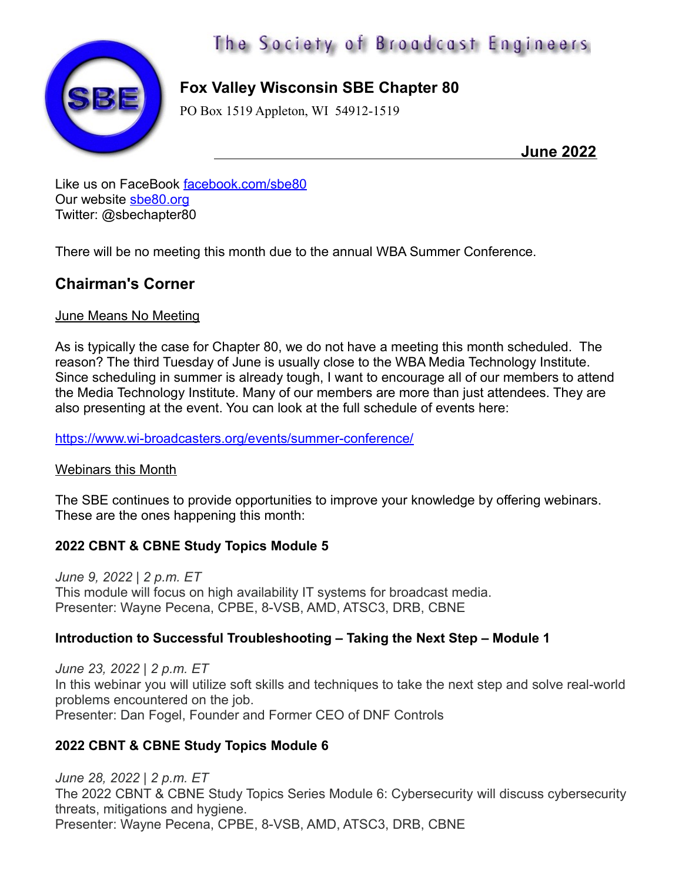

# The Society of Broadcast Engineers

# **Fox Valley Wisconsin SBE Chapter 80**

PO Box 1519 Appleton, WI 54912-1519

 **June 2022**

Like us on FaceBook [facebook.com/sbe80](http://facebook.com/sbe80) Our website [sbe80.org](http://sbe80.org/) Twitter: @sbechapter80

There will be no meeting this month due to the annual WBA Summer Conference.

## **Chairman's Corner**

#### June Means No Meeting

As is typically the case for Chapter 80, we do not have a meeting this month scheduled. The reason? The third Tuesday of June is usually close to the WBA Media Technology Institute. Since scheduling in summer is already tough, I want to encourage all of our members to attend the Media Technology Institute. Many of our members are more than just attendees. They are also presenting at the event. You can look at the full schedule of events here:

<https://www.wi-broadcasters.org/events/summer-conference/>

#### Webinars this Month

The SBE continues to provide opportunities to improve your knowledge by offering webinars. These are the ones happening this month:

### **[2022 CBNT & CBNE Study Topics Module 5](https://r20.rs6.net/tn.jsp?f=001TlTibyHpqYT_-EjZ3wrmHORTXcZ_qkNevJkfIJ_CjlqrVkZ1beE8aMSPrtQXFUNPB4IkaGZkrPgiIOD84pSZI52hye0MseXD8TEcNUK5jENj-HSrXfhTVSx4RHf4q1vq7Wt6PKqQ4Ouve8AQzAn5pGsaYHXDtG37mw6rk2rmGu8=&c=kxEMM0hF-jGcry7CViWIUi1Qof76Uj3fF-AFKJQtjKzEgXtRvv6SAg==&ch=-oGsVIHes2ZHc7r-lFCTQEsxhhX5kifmT2VzTmKoCQ8lqwQ02VK8Dg==)**

*June 9, 2022 | 2 p.m. ET* This module will focus on high availability IT systems for broadcast media. Presenter: Wayne Pecena, CPBE, 8-VSB, AMD, ATSC3, DRB, CBNE

### **[Introduction to Successful Troubleshooting – Taking the Next Step – Module 1](https://r20.rs6.net/tn.jsp?f=001TlTibyHpqYT_-EjZ3wrmHORTXcZ_qkNevJkfIJ_CjlqrVkZ1beE8aBtr9LkJdVdpkqappD63BCzQ-O29_m99Y3s58xAwP7TjACvkl2XrvS-vxv2PQJp8fO-Y57M-tK2NuQmBD259VU1Upf-Q3pzmngv4MV8B8cOekCYZ_-C6rJU99DJviv8WnZ7jbL-WNVhiw2j40URdcdpBtzPgacvGyNzhY20spRJTDnJ7-Uvt-wJrp37Y8hpzpQ==&c=kxEMM0hF-jGcry7CViWIUi1Qof76Uj3fF-AFKJQtjKzEgXtRvv6SAg==&ch=-oGsVIHes2ZHc7r-lFCTQEsxhhX5kifmT2VzTmKoCQ8lqwQ02VK8Dg==)**

*June 23, 2022 | 2 p.m. ET* In this webinar you will utilize soft skills and techniques to take the next step and solve real-world problems encountered on the job. Presenter: Dan Fogel, Founder and Former CEO of DNF Controls

### **[2022 CBNT & CBNE Study Topics Module 6](https://r20.rs6.net/tn.jsp?f=001TlTibyHpqYT_-EjZ3wrmHORTXcZ_qkNevJkfIJ_CjlqrVkZ1beE8aMSPrtQXFUNPg90laP1W66S6mEABIoGymYrjbJat4CZWCahAti5jfhFQvdp2bGOE4mKNENowArFI6LKaXDNAlubXrx6aWGpa4cQkp576cupKnAg-ahTKtzQ=&c=kxEMM0hF-jGcry7CViWIUi1Qof76Uj3fF-AFKJQtjKzEgXtRvv6SAg==&ch=-oGsVIHes2ZHc7r-lFCTQEsxhhX5kifmT2VzTmKoCQ8lqwQ02VK8Dg==)**

*June 28, 2022 | 2 p.m. ET* The 2022 CBNT & CBNE Study Topics Series Module 6: Cybersecurity will discuss cybersecurity threats, mitigations and hygiene. Presenter: Wayne Pecena, CPBE, 8-VSB, AMD, ATSC3, DRB, CBNE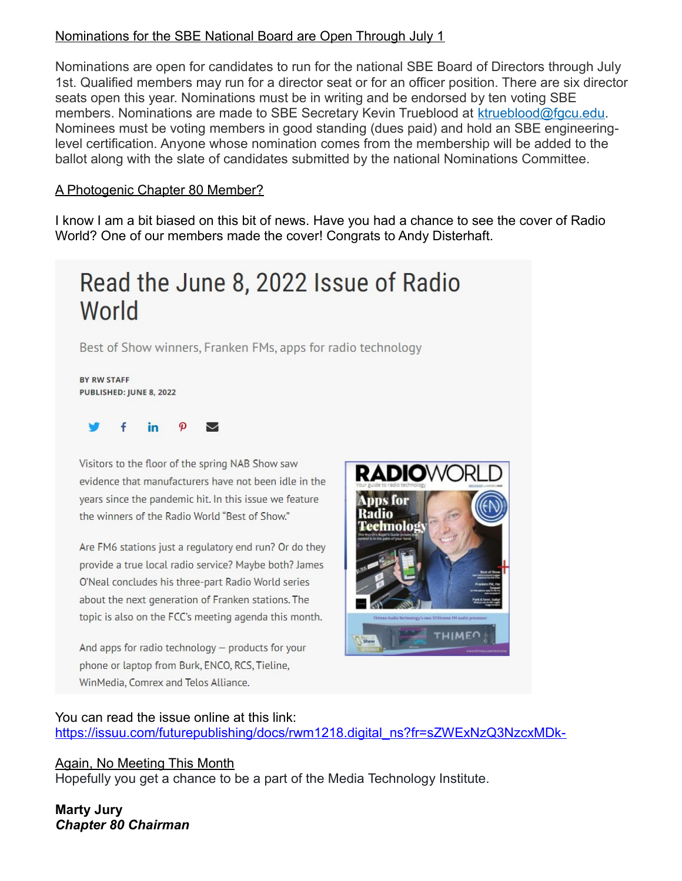#### Nominations for the SBE National Board are Open Through July 1

Nominations are open for candidates to run for the national SBE Board of Directors through July 1st. Qualified members may run for a director seat or for an officer position. There are six director seats open this year. Nominations must be in writing and be endorsed by ten voting SBE members. Nominations are made to SBE Secretary Kevin Trueblood at [ktrueblood@fgcu.edu.](mailto:ktrueblood@fgcu.edu) Nominees must be voting members in good standing (dues paid) and hold an SBE engineeringlevel certification. Anyone whose nomination comes from the membership will be added to the ballot along with the slate of candidates submitted by the national Nominations Committee.

#### A Photogenic Chapter 80 Member?

I know I am a bit biased on this bit of news. Have you had a chance to see the cover of Radio World? One of our members made the cover! Congrats to Andy Disterhaft.

# Read the June 8, 2022 Issue of Radio World

Best of Show winners, Franken FMs, apps for radio technology

BY RW STAFF PUBLISHED: JUNE 8, 2022

#### in ◡

Visitors to the floor of the spring NAB Show saw evidence that manufacturers have not been idle in the years since the pandemic hit. In this issue we feature the winners of the Radio World "Best of Show."

Are FM6 stations just a regulatory end run? Or do they provide a true local radio service? Maybe both? James O'Neal concludes his three-part Radio World series about the next generation of Franken stations. The topic is also on the FCC's meeting agenda this month.

And apps for radio technology - products for your phone or laptop from Burk, ENCO, RCS, Tieline, WinMedia, Comrex and Telos Alliance.



#### You can read the issue online at this link:

[https://issuu.com/futurepublishing/docs/rwm1218.digital\\_ns?fr=sZWExNzQ3NzcxMDk-](https://issuu.com/futurepublishing/docs/rwm1218.digital_ns?fr=sZWExNzQ3NzcxMDk-)

#### Again, No Meeting This Month

Hopefully you get a chance to be a part of the Media Technology Institute.

**Marty Jury** *Chapter 80 Chairman*